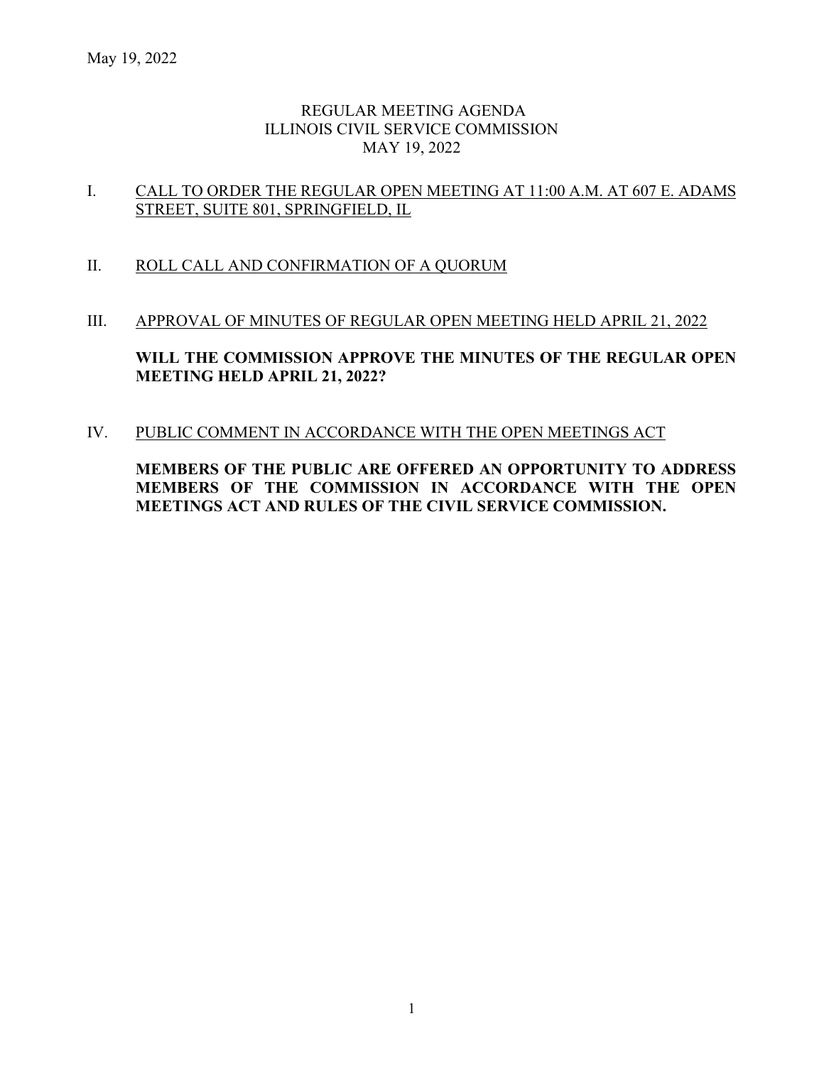## REGULAR MEETING AGENDA ILLINOIS CIVIL SERVICE COMMISSION MAY 19, 2022

## I. CALL TO ORDER THE REGULAR OPEN MEETING AT 11:00 A.M. AT 607 E. ADAMS STREET, SUITE 801, SPRINGFIELD, IL

## II. ROLL CALL AND CONFIRMATION OF A QUORUM

#### III. APPROVAL OF MINUTES OF REGULAR OPEN MEETING HELD APRIL 21, 2022

**WILL THE COMMISSION APPROVE THE MINUTES OF THE REGULAR OPEN MEETING HELD APRIL 21, 2022?**

## IV. PUBLIC COMMENT IN ACCORDANCE WITH THE OPEN MEETINGS ACT

**MEMBERS OF THE PUBLIC ARE OFFERED AN OPPORTUNITY TO ADDRESS MEMBERS OF THE COMMISSION IN ACCORDANCE WITH THE OPEN MEETINGS ACT AND RULES OF THE CIVIL SERVICE COMMISSION.**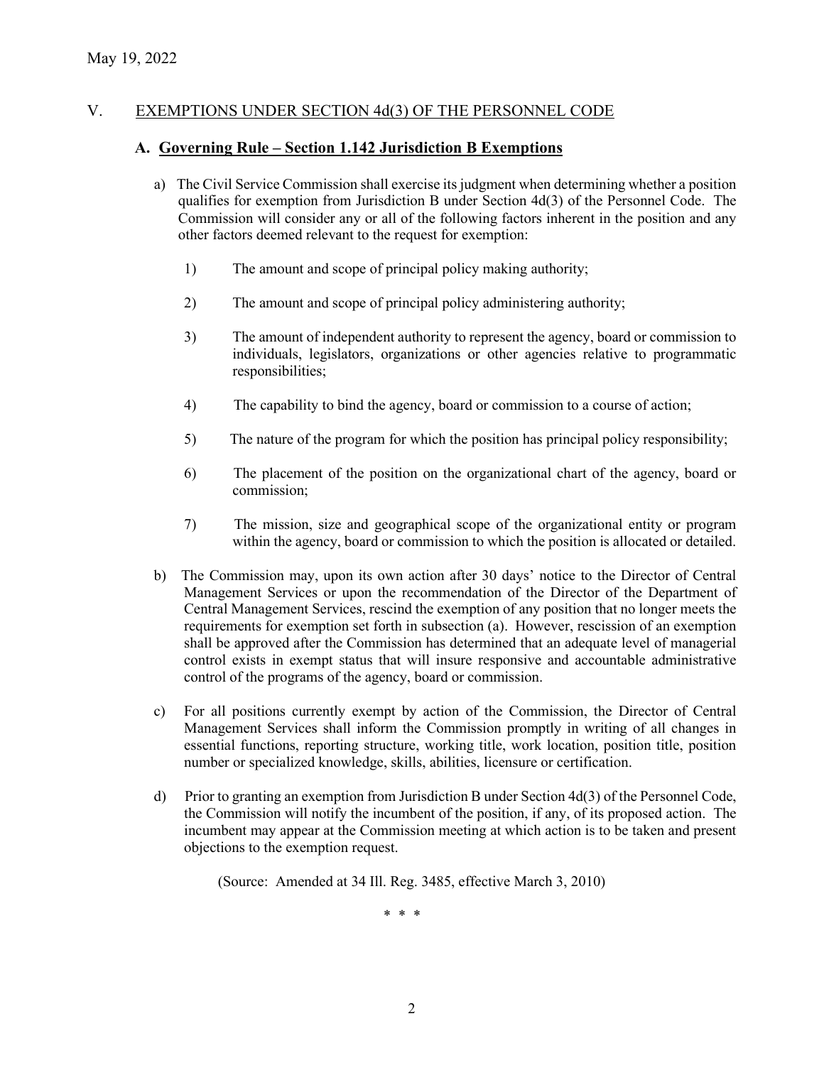## V. EXEMPTIONS UNDER SECTION 4d(3) OF THE PERSONNEL CODE

#### **A. Governing Rule – Section 1.142 Jurisdiction B Exemptions**

- a) The Civil Service Commission shall exercise its judgment when determining whether a position qualifies for exemption from Jurisdiction B under Section 4d(3) of the Personnel Code. The Commission will consider any or all of the following factors inherent in the position and any other factors deemed relevant to the request for exemption:
	- 1) The amount and scope of principal policy making authority;
	- 2) The amount and scope of principal policy administering authority;
	- 3) The amount of independent authority to represent the agency, board or commission to individuals, legislators, organizations or other agencies relative to programmatic responsibilities;
	- 4) The capability to bind the agency, board or commission to a course of action;
	- 5) The nature of the program for which the position has principal policy responsibility;
	- 6) The placement of the position on the organizational chart of the agency, board or commission;
	- 7) The mission, size and geographical scope of the organizational entity or program within the agency, board or commission to which the position is allocated or detailed.
- b) The Commission may, upon its own action after 30 days' notice to the Director of Central Management Services or upon the recommendation of the Director of the Department of Central Management Services, rescind the exemption of any position that no longer meets the requirements for exemption set forth in subsection (a). However, rescission of an exemption shall be approved after the Commission has determined that an adequate level of managerial control exists in exempt status that will insure responsive and accountable administrative control of the programs of the agency, board or commission.
- c) For all positions currently exempt by action of the Commission, the Director of Central Management Services shall inform the Commission promptly in writing of all changes in essential functions, reporting structure, working title, work location, position title, position number or specialized knowledge, skills, abilities, licensure or certification.
- d) Prior to granting an exemption from Jurisdiction B under Section 4d(3) of the Personnel Code, the Commission will notify the incumbent of the position, if any, of its proposed action. The incumbent may appear at the Commission meeting at which action is to be taken and present objections to the exemption request.

(Source: Amended at 34 Ill. Reg. 3485, effective March 3, 2010)

\* \* \*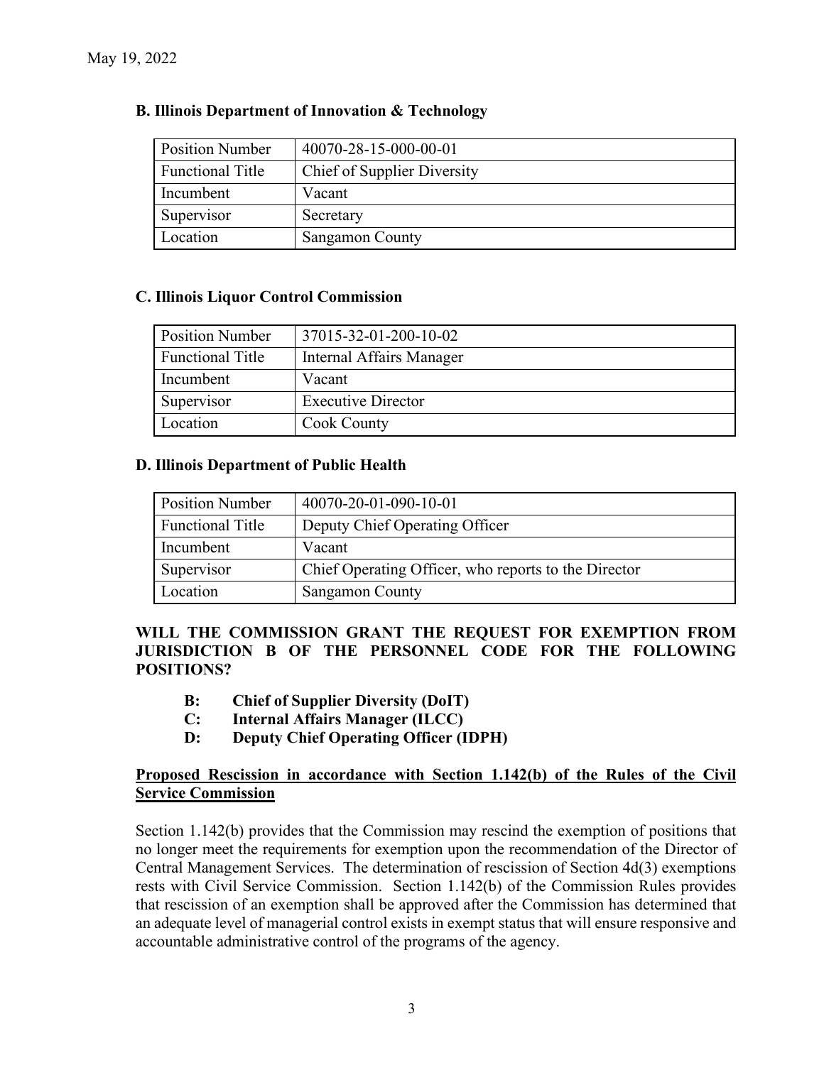| <b>Position Number</b> | 40070-28-15-000-00-01       |  |
|------------------------|-----------------------------|--|
| Functional Title       | Chief of Supplier Diversity |  |
| Incumbent              | Vacant                      |  |
| Supervisor             | Secretary                   |  |
| Location               | <b>Sangamon County</b>      |  |

# **B. Illinois Department of Innovation & Technology**

## **C. Illinois Liquor Control Commission**

| <b>Position Number</b>  | 37015-32-01-200-10-02           |  |
|-------------------------|---------------------------------|--|
| <b>Functional Title</b> | <b>Internal Affairs Manager</b> |  |
| Incumbent               | Vacant                          |  |
| Supervisor              | <b>Executive Director</b>       |  |
| Location                | <b>Cook County</b>              |  |

## **D. Illinois Department of Public Health**

| <b>Position Number</b> | 40070-20-01-090-10-01                                |  |
|------------------------|------------------------------------------------------|--|
| Functional Title       | Deputy Chief Operating Officer                       |  |
| Incumbent              | Vacant                                               |  |
| Supervisor             | Chief Operating Officer, who reports to the Director |  |
| Location               | <b>Sangamon County</b>                               |  |

# **WILL THE COMMISSION GRANT THE REQUEST FOR EXEMPTION FROM JURISDICTION B OF THE PERSONNEL CODE FOR THE FOLLOWING POSITIONS?**

- **B: Chief of Supplier Diversity (DoIT)**
- **C: Internal Affairs Manager (ILCC)**
- **D: Deputy Chief Operating Officer (IDPH)**

## **Proposed Rescission in accordance with Section 1.142(b) of the Rules of the Civil Service Commission**

Section 1.142(b) provides that the Commission may rescind the exemption of positions that no longer meet the requirements for exemption upon the recommendation of the Director of Central Management Services. The determination of rescission of Section 4d(3) exemptions rests with Civil Service Commission. Section 1.142(b) of the Commission Rules provides that rescission of an exemption shall be approved after the Commission has determined that an adequate level of managerial control exists in exempt status that will ensure responsive and accountable administrative control of the programs of the agency.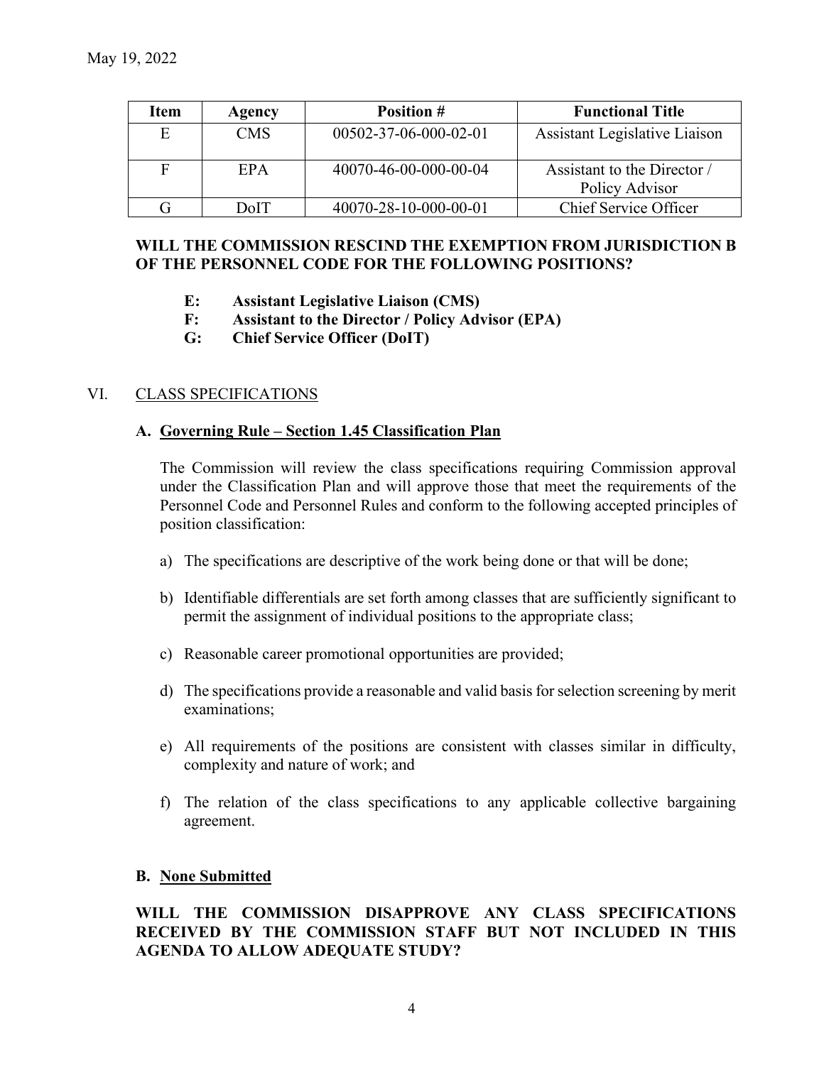| Item | Agency     | <b>Position #</b>     | <b>Functional Title</b>       |
|------|------------|-----------------------|-------------------------------|
| E    | <b>CMS</b> | 00502-37-06-000-02-01 | Assistant Legislative Liaison |
|      |            |                       |                               |
| F    | EPA        | 40070-46-00-000-00-04 | Assistant to the Director /   |
|      |            |                       | Policy Advisor                |
|      | DoIT       | 40070-28-10-000-00-01 | Chief Service Officer         |

### **WILL THE COMMISSION RESCIND THE EXEMPTION FROM JURISDICTION B OF THE PERSONNEL CODE FOR THE FOLLOWING POSITIONS?**

- **E: Assistant Legislative Liaison (CMS)**
- **F: Assistant to the Director / Policy Advisor (EPA)**
- **G: Chief Service Officer (DoIT)**

## VI. CLASS SPECIFICATIONS

#### **A. Governing Rule – Section 1.45 Classification Plan**

The Commission will review the class specifications requiring Commission approval under the Classification Plan and will approve those that meet the requirements of the Personnel Code and Personnel Rules and conform to the following accepted principles of position classification:

- a) The specifications are descriptive of the work being done or that will be done;
- b) Identifiable differentials are set forth among classes that are sufficiently significant to permit the assignment of individual positions to the appropriate class;
- c) Reasonable career promotional opportunities are provided;
- d) The specifications provide a reasonable and valid basis for selection screening by merit examinations;
- e) All requirements of the positions are consistent with classes similar in difficulty, complexity and nature of work; and
- f) The relation of the class specifications to any applicable collective bargaining agreement.

#### **B. None Submitted**

**WILL THE COMMISSION DISAPPROVE ANY CLASS SPECIFICATIONS RECEIVED BY THE COMMISSION STAFF BUT NOT INCLUDED IN THIS AGENDA TO ALLOW ADEQUATE STUDY?**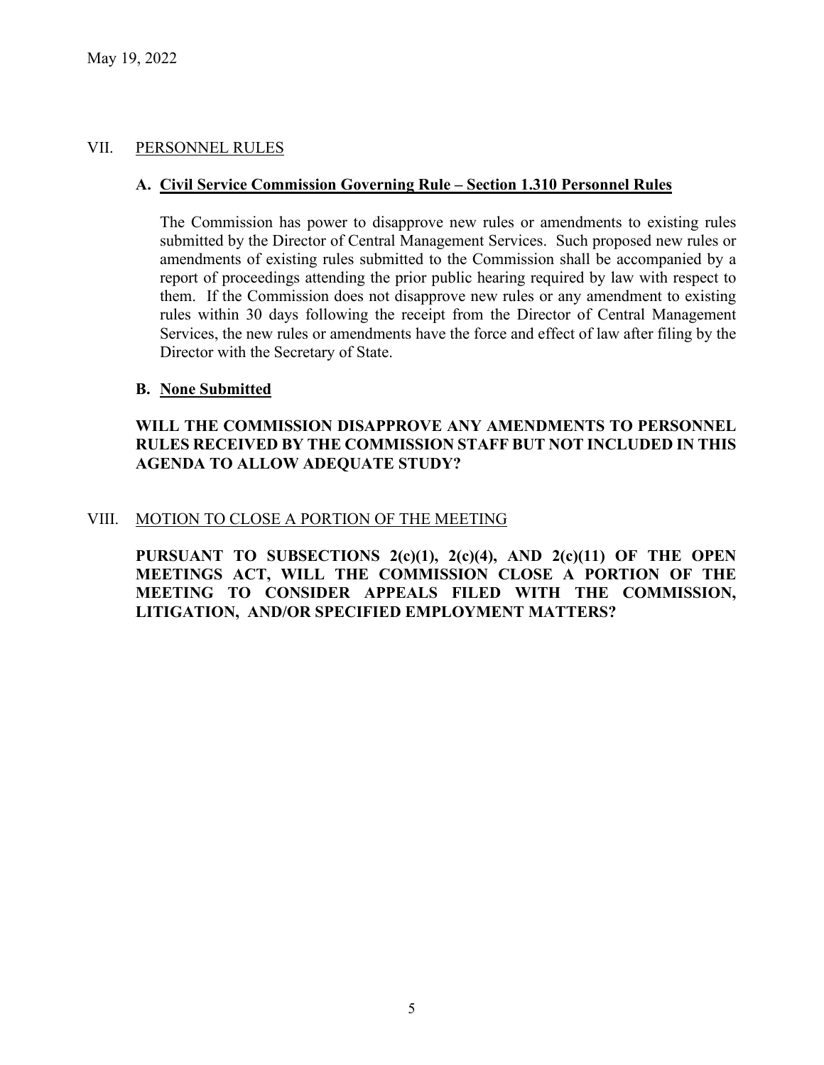## VII. PERSONNEL RULES

#### **A. Civil Service Commission Governing Rule – Section 1.310 Personnel Rules**

The Commission has power to disapprove new rules or amendments to existing rules submitted by the Director of Central Management Services. Such proposed new rules or amendments of existing rules submitted to the Commission shall be accompanied by a report of proceedings attending the prior public hearing required by law with respect to them. If the Commission does not disapprove new rules or any amendment to existing rules within 30 days following the receipt from the Director of Central Management Services, the new rules or amendments have the force and effect of law after filing by the Director with the Secretary of State.

#### **B. None Submitted**

## **WILL THE COMMISSION DISAPPROVE ANY AMENDMENTS TO PERSONNEL RULES RECEIVED BY THE COMMISSION STAFF BUT NOT INCLUDED IN THIS AGENDA TO ALLOW ADEQUATE STUDY?**

#### VIII. MOTION TO CLOSE A PORTION OF THE MEETING

**PURSUANT TO SUBSECTIONS 2(c)(1), 2(c)(4), AND 2(c)(11) OF THE OPEN MEETINGS ACT, WILL THE COMMISSION CLOSE A PORTION OF THE MEETING TO CONSIDER APPEALS FILED WITH THE COMMISSION, LITIGATION, AND/OR SPECIFIED EMPLOYMENT MATTERS?**